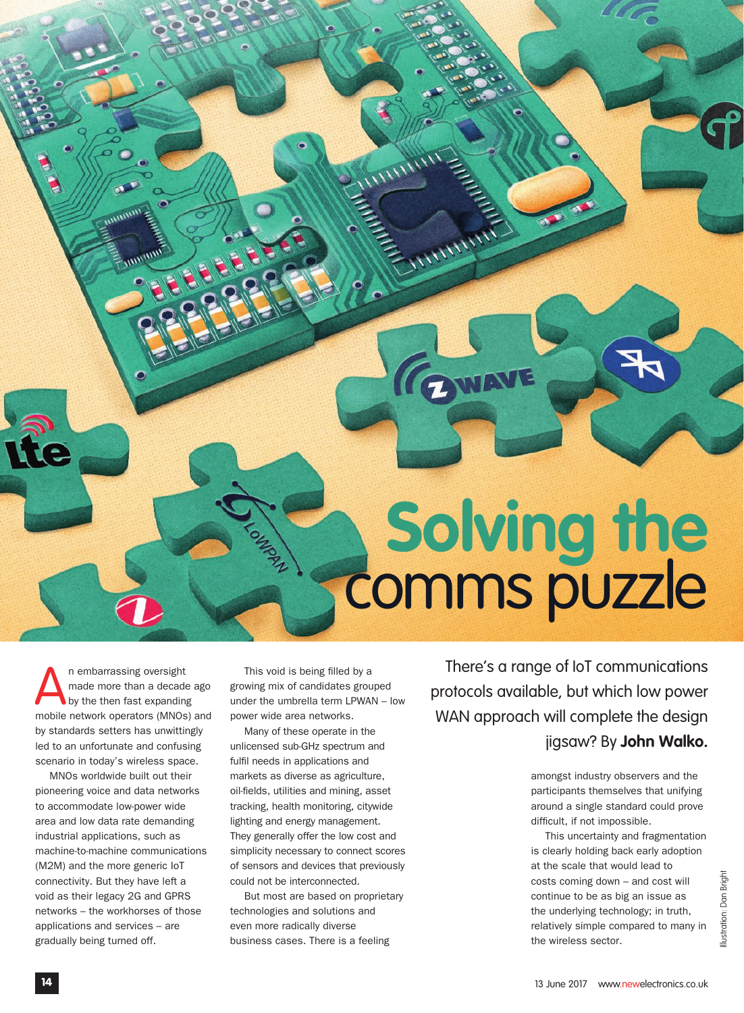## **Solving the**  comms puzzle

In embarrassing oversight<br>
made more than a decade ago<br>
by the then fast expanding<br>
mobile network operators (MNOs) and n embarrassing oversight made more than a decade ago by the then fast expanding by standards setters has unwittingly led to an unfortunate and confusing scenario in today's wireless space.

MNOs worldwide built out their pioneering voice and data networks to accommodate low-power wide area and low data rate demanding industrial applications, such as machine-to-machine communications (M2M) and the more generic IoT connectivity. But they have left a void as their legacy 2G and GPRS networks – the workhorses of those applications and services – are gradually being turned off.

This void is being filled by a growing mix of candidates grouped under the umbrella term LPWAN – low power wide area networks.

W

ANTITUTT

GWAVE

Many of these operate in the unlicensed sub-GHz spectrum and fulfil needs in applications and markets as diverse as agriculture, oil-fields, utilities and mining, asset tracking, health monitoring, citywide lighting and energy management. They generally offer the low cost and simplicity necessary to connect scores of sensors and devices that previously could not be interconnected.

But most are based on proprietary technologies and solutions and even more radically diverse business cases. There is a feeling

There's a range of IoT communications protocols available, but which low power WAN approach will complete the design jigsaw? By **John Walko.**

> amongst industry observers and the participants themselves that unifying around a single standard could prove difficult, if not impossible.

This uncertainty and fragmentation is clearly holding back early adoption at the scale that would lead to costs coming down – and cost will continue to be as big an issue as the underlying technology; in truth, relatively simple compared to many in the wireless sector.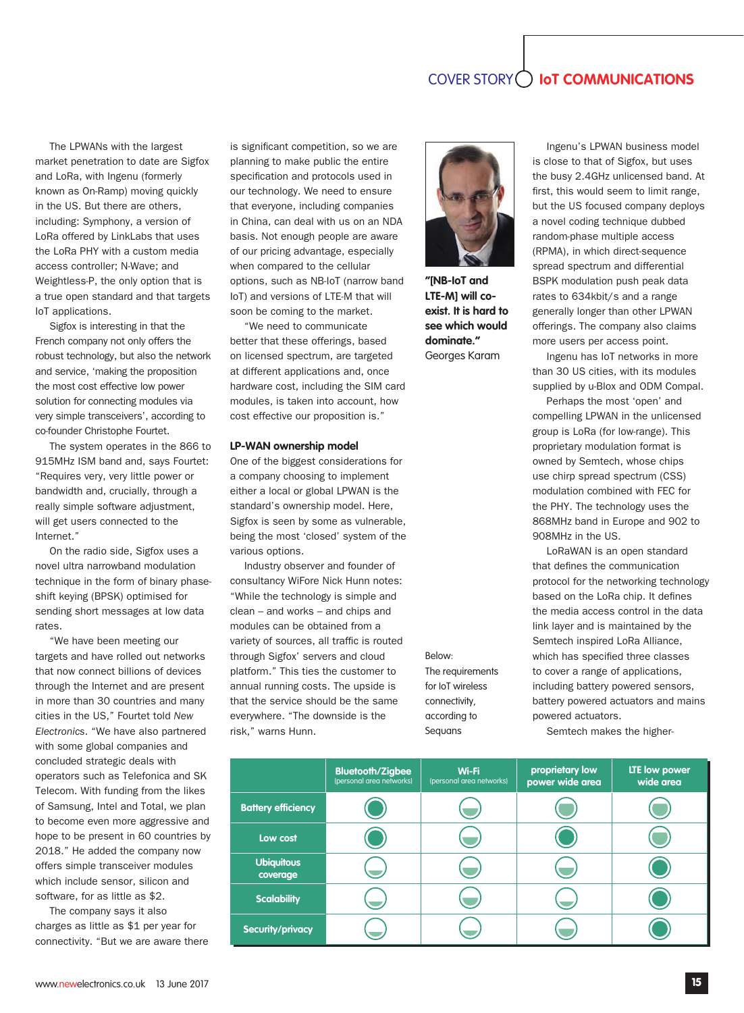## COVER STORY **IoT COMMUNICATIONS**

The LPWANs with the largest market penetration to date are Sigfox and LoRa, with Ingenu (formerly known as On-Ramp) moving quickly in the US. But there are others, including: Symphony, a version of LoRa offered by LinkLabs that uses the LoRa PHY with a custom media access controller; N-Wave; and Weightless-P, the only option that is a true open standard and that targets IoT applications.

Sigfox is interesting in that the French company not only offers the robust technology, but also the network and service, 'making the proposition the most cost effective low power solution for connecting modules via very simple transceivers', according to co-founder Christophe Fourtet.

The system operates in the 866 to 915MHz ISM band and, says Fourtet: "Requires very, very little power or bandwidth and, crucially, through a really simple software adjustment, will get users connected to the Internet."

On the radio side, Sigfox uses a novel ultra narrowband modulation technique in the form of binary phaseshift keying (BPSK) optimised for sending short messages at low data rates.

"We have been meeting our targets and have rolled out networks that now connect billions of devices through the Internet and are present in more than 30 countries and many cities in the US," Fourtet told *New Electronics*. "We have also partnered with some global companies and concluded strategic deals with operators such as Telefonica and SK Telecom. With funding from the likes of Samsung, Intel and Total, we plan to become even more aggressive and hope to be present in 60 countries by 2018." He added the company now offers simple transceiver modules which include sensor, silicon and software, for as little as \$2.

The company says it also charges as little as \$1 per year for connectivity. "But we are aware there is significant competition, so we are planning to make public the entire specification and protocols used in our technology. We need to ensure that everyone, including companies in China, can deal with us on an NDA basis. Not enough people are aware of our pricing advantage, especially when compared to the cellular options, such as NB-IoT (narrow band IoT) and versions of LTE-M that will soon be coming to the market.

"We need to communicate better that these offerings, based on licensed spectrum, are targeted at different applications and, once hardware cost, including the SIM card modules, is taken into account, how cost effective our proposition is."

## **LP-WAN ownership model**

One of the biggest considerations for a company choosing to implement either a local or global LPWAN is the standard's ownership model. Here, Sigfox is seen by some as vulnerable, being the most 'closed' system of the various options.

Industry observer and founder of consultancy WiFore Nick Hunn notes: "While the technology is simple and clean – and works – and chips and modules can be obtained from a variety of sources, all traffic is routed through Sigfox' servers and cloud platform." This ties the customer to annual running costs. The upside is that the service should be the same everywhere. "The downside is the risk," warns Hunn.

Below: The requirements for IoT wireless connectivity, according to Sequans

**"[NB-IoT and LTE-M] will coexist. It is hard to see which would dominate."** Georges Karam

Ingenu's LPWAN business model is close to that of Sigfox, but uses the busy 2.4GHz unlicensed band. At first, this would seem to limit range, but the US focused company deploys a novel coding technique dubbed random-phase multiple access (RPMA), in which direct-sequence spread spectrum and differential BSPK modulation push peak data rates to 634kbit/s and a range generally longer than other LPWAN offerings. The company also claims more users per access point.

Ingenu has IoT networks in more than 30 US cities, with its modules supplied by u-Blox and ODM Compal.

Perhaps the most 'open' and compelling LPWAN in the unlicensed group is LoRa (for low-range). This proprietary modulation format is owned by Semtech, whose chips use chirp spread spectrum (CSS) modulation combined with FEC for the PHY. The technology uses the 868MHz band in Europe and 902 to 908MHz in the US.

LoRaWAN is an open standard that defines the communication protocol for the networking technology based on the LoRa chip. It defines the media access control in the data link layer and is maintained by the Semtech inspired LoRa Alliance, which has specified three classes to cover a range of applications, including battery powered sensors, battery powered actuators and mains powered actuators.

Semtech makes the higher-

|                               | <b>Bluetooth/Zigbee</b><br>(personal area networks) | Wi-Fi<br>(personal area networks) | proprietary low<br>power wide area | <b>LTE low power</b><br>wide area |
|-------------------------------|-----------------------------------------------------|-----------------------------------|------------------------------------|-----------------------------------|
| <b>Battery efficiency</b>     |                                                     |                                   |                                    |                                   |
| Low cost                      |                                                     |                                   |                                    |                                   |
| <b>Ubiquitous</b><br>coverage |                                                     |                                   |                                    |                                   |
| <b>Scalability</b>            |                                                     |                                   |                                    |                                   |
| <b>Security/privacy</b>       |                                                     |                                   |                                    |                                   |